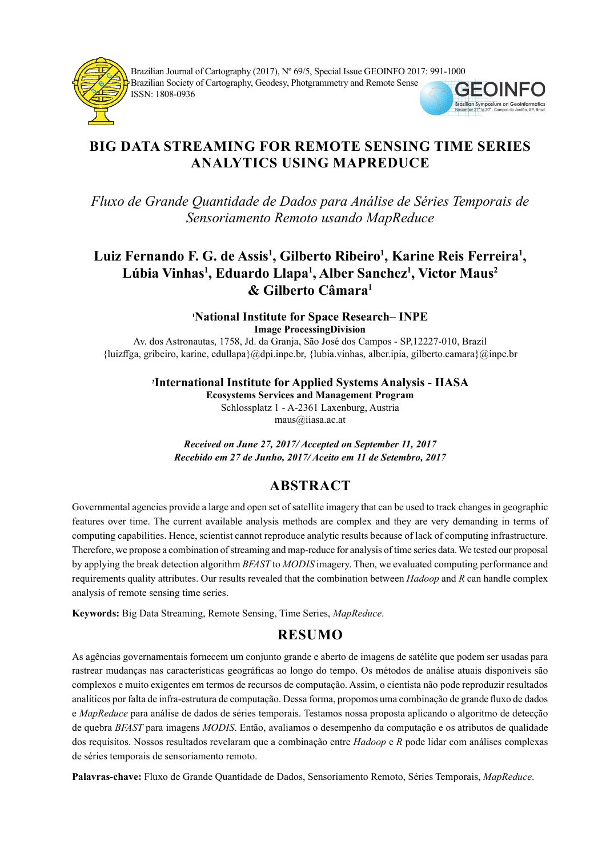

Brazilian Journal of Cartography (2017), Nº 69/5, Special Issue GEOINFO 2017: 991-1000 Brazilian Society of Cartography, Geodesy, Photgrammetry and Remote Sense ISSN: 1808-0936



# BIG DATA STREAMING FOR REMOTE SENSING TIME SERIES ANALYTICS USING MAPREDUCE

Fluxo de Grande Quantidade de Dados para Análise de Séries Temporais de Sensoriamento Remoto usando MapReduce

# Luiz Fernando F. G. de Assis<sup>1</sup>, Gilberto Ribeiro<sup>1</sup>, Karine Reis Ferreira<sup>1</sup>, Lúbia Vinhas<sup>1</sup>, Eduardo Llapa<sup>1</sup>, Alber Sanchez<sup>1</sup>, Victor Maus<sup>2</sup> & Gilberto Câmara<sup>1</sup>

<sup>1</sup>National Institute for Space Research– INPE Image ProcessingDivision

Av. dos Astronautas, 1758, Jd. da Granja, São José dos Campos - SP,12227-010, Brazil {luizff ga, gribeiro, karine, edullapa}@dpi.inpe.br, {lubia.vinhas, alber.ipia, gilberto.camara}@inpe.br

> <sup>2</sup>International Institute for Applied Systems Analysis - IIASA Ecosystems Services and Management Program

Schlossplatz 1 - A-2361 Laxenburg, Austria maus@iiasa.ac.at

Received on June 27, 2017/ Accepted on September 11, 2017 Recebido em 27 de Junho, 2017/ Aceito em 11 de Setembro, 2017

# **ABSTRACT**

Governmental agencies provide a large and open set of satellite imagery that can be used to track changes in geographic features over time. The current available analysis methods are complex and they are very demanding in terms of computing capabilities. Hence, scientist cannot reproduce analytic results because of lack of computing infrastructure. Therefore, we propose a combination of streaming and map-reduce for analysis of time series data. We tested our proposal by applying the break detection algorithm BFAST to MODIS imagery. Then, we evaluated computing performance and requirements quality attributes. Our results revealed that the combination between Hadoop and R can handle complex analysis of remote sensing time series.

Keywords: Big Data Streaming, Remote Sensing, Time Series, MapReduce.

# RESUMO

As agências governamentais fornecem um conjunto grande e aberto de imagens de satélite que podem ser usadas para rastrear mudanças nas características geográficas ao longo do tempo. Os métodos de análise atuais disponíveis são complexos e muito exigentes em termos de recursos de computação. Assim, o cientista não pode reproduzir resultados analíticos por falta de infra-estrutura de computação. Dessa forma, propomos uma combinação de grande fluxo de dados e MapReduce para análise de dados de séries temporais. Testamos nossa proposta aplicando o algoritmo de detecção de quebra BFAST para imagens MODIS. Então, avaliamos o desempenho da computação e os atributos de qualidade dos requisitos. Nossos resultados revelaram que a combinação entre Hadoop e R pode lidar com análises complexas de séries temporais de sensoriamento remoto.

Palavras-chave: Fluxo de Grande Quantidade de Dados, Sensoriamento Remoto, Séries Temporais, MapReduce.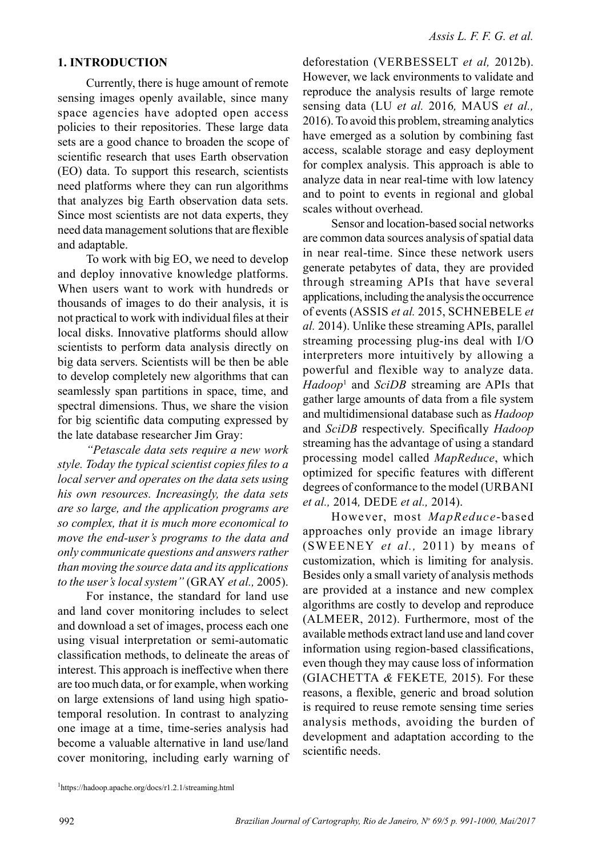#### 1. INTRODUCTION

Currently, there is huge amount of remote sensing images openly available, since many space agencies have adopted open access policies to their repositories. These large data sets are a good chance to broaden the scope of scientific research that uses Earth observation (EO) data. To support this research, scientists need platforms where they can run algorithms that analyzes big Earth observation data sets. Since most scientists are not data experts, they need data management solutions that are flexible and adaptable.

To work with big EO, we need to develop and deploy innovative knowledge platforms. When users want to work with hundreds or thousands of images to do their analysis, it is not practical to work with individual files at their local disks. Innovative platforms should allow scientists to perform data analysis directly on big data servers. Scientists will be then be able to develop completely new algorithms that can seamlessly span partitions in space, time, and spectral dimensions. Thus, we share the vision for big scientific data computing expressed by the late database researcher Jim Gray:

"Petascale data sets require a new work style. Today the typical scientist copies files to a local server and operates on the data sets using his own resources. Increasingly, the data sets are so large, and the application programs are so complex, that it is much more economical to move the end-user's programs to the data and only communicate questions and answers rather than moving the source data and its applications to the user's local system" (GRAY et al., 2005).

For instance, the standard for land use and land cover monitoring includes to select and download a set of images, process each one using visual interpretation or semi-automatic classification methods, to delineate the areas of interest. This approach is ineffective when there are too much data, or for example, when working on large extensions of land using high spatiotemporal resolution. In contrast to analyzing one image at a time, time-series analysis had become a valuable alternative in land use/land cover monitoring, including early warning of

deforestation (VERBESSELT et al, 2012b). However, we lack environments to validate and reproduce the analysis results of large remote sensing data (LU et al. 2016, MAUS et al., 2016). To avoid this problem, streaming analytics have emerged as a solution by combining fast access, scalable storage and easy deployment for complex analysis. This approach is able to analyze data in near real-time with low latency and to point to events in regional and global scales without overhead.

Sensor and location-based social networks are common data sources analysis of spatial data in near real-time. Since these network users generate petabytes of data, they are provided through streaming APIs that have several applications, including the analysis the occurrence of events (ASSIS et al. 2015, SCHNEBELE et al. 2014). Unlike these streaming APIs, parallel streaming processing plug-ins deal with I/O interpreters more intuitively by allowing a powerful and flexible way to analyze data.  $Hadoop<sup>1</sup>$  and SciDB streaming are APIs that gather large amounts of data from a file system and multidimensional database such as Hadoop and SciDB respectively. Specifically Hadoop streaming has the advantage of using a standard processing model called MapReduce, which optimized for specific features with different degrees of conformance to the model (URBANI et al., 2014, DEDE et al., 2014).

However, most MapReduce-based approaches only provide an image library (SWEENEY et al., 2011) by means of customization, which is limiting for analysis. Besides only a small variety of analysis methods are provided at a instance and new complex algorithms are costly to develop and reproduce (ALMEER, 2012). Furthermore, most of the available methods extract land use and land cover information using region-based classifications, even though they may cause loss of information (GIACHETTA & FEKETE, 2015). For these reasons, a flexible, generic and broad solution is required to reuse remote sensing time series analysis methods, avoiding the burden of development and adaptation according to the scientific needs.

<sup>1</sup>https://hadoop.apache.org/docs/r1.2.1/streaming.html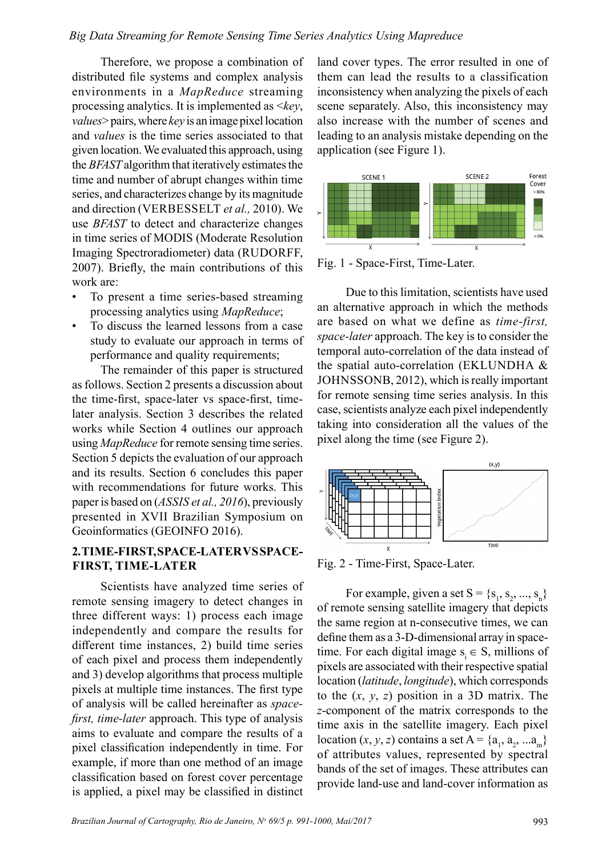#### Big Data Streaming for Remote Sensing Time Series Analytics Using Mapreduce

Therefore, we propose a combination of distributed file systems and complex analysis environments in a MapReduce streaming processing analytics. It is implemented as  $\langle key, \rangle$ *values* > pairs, where  $key$  is an image pixel location and values is the time series associated to that given location. We evaluated this approach, using the BFAST algorithm that iteratively estimates the time and number of abrupt changes within time series, and characterizes change by its magnitude and direction (VERBESSELT et al., 2010). We use BFAST to detect and characterize changes in time series of MODIS (Moderate Resolution Imaging Spectroradiometer) data (RUDORFF, 2007). Briefly, the main contributions of this work are:

- To present a time series-based streaming processing analytics using MapReduce;
- To discuss the learned lessons from a case study to evaluate our approach in terms of performance and quality requirements;

The remainder of this paper is structured as follows. Section 2 presents a discussion about the time-first, space-later vs space-first, timelater analysis. Section 3 describes the related works while Section 4 outlines our approach using MapReduce for remote sensing time series. Section 5 depicts the evaluation of our approach and its results. Section 6 concludes this paper with recommendations for future works. This paper is based on (ASSIS et al., 2016), previously presented in XVII Brazilian Symposium on Geoinformatics (GEOINFO 2016).

### 2. TIME-FIRST, SPACE-LATER VS SPACE-FIRST, TIME-LATER

Scientists have analyzed time series of remote sensing imagery to detect changes in three different ways: 1) process each image independently and compare the results for different time instances, 2) build time series of each pixel and process them independently and 3) develop algorithms that process multiple pixels at multiple time instances. The first type of analysis will be called hereinafter as spacefirst, time-later approach. This type of analysis aims to evaluate and compare the results of a pixel classification independently in time. For example, if more than one method of an image classification based on forest cover percentage is applied, a pixel may be classified in distinct

land cover types. The error resulted in one of them can lead the results to a classification inconsistency when analyzing the pixels of each scene separately. Also, this inconsistency may also increase with the number of scenes and leading to an analysis mistake depending on the application (see Figure 1).



Fig. 1 - Space-First, Time-Later.

Due to this limitation, scientists have used an alternative approach in which the methods are based on what we define as time-first, space-later approach. The key is to consider the temporal auto-correlation of the data instead of the spatial auto-correlation (EKLUNDHA & JOHNSSONB, 2012), which is really important for remote sensing time series analysis. In this case, scientists analyze each pixel independently taking into consideration all the values of the pixel along the time (see Figure 2).



Fig. 2 - Time-First, Space-Later.

For example, given a set  $S = \{s_1, s_2, ..., s_n\}$ of remote sensing satellite imagery that depicts the same region at n-consecutive times, we can define them as a 3-D-dimensional array in spacetime. For each digital image  $s_i \in S$ , millions of pixels are associated with their respective spatial location (latitude, longitude), which corresponds to the  $(x, y, z)$  position in a 3D matrix. The z-component of the matrix corresponds to the time axis in the satellite imagery. Each pixel location  $(x, y, z)$  contains a set  $A = \{a_1, a_2, ... a_m\}$ of attributes values, represented by spectral bands of the set of images. These attributes can provide land-use and land-cover information as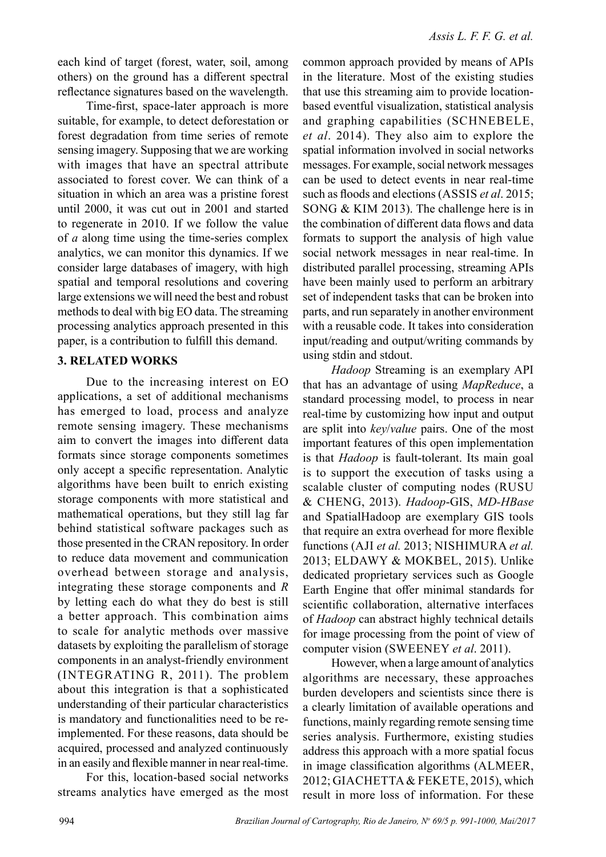each kind of target (forest, water, soil, among others) on the ground has a different spectral reflectance signatures based on the wavelength.

Time-first, space-later approach is more suitable, for example, to detect deforestation or forest degradation from time series of remote sensing imagery. Supposing that we are working with images that have an spectral attribute associated to forest cover. We can think of a situation in which an area was a pristine forest until 2000, it was cut out in 2001 and started to regenerate in 2010. If we follow the value of a along time using the time-series complex analytics, we can monitor this dynamics. If we consider large databases of imagery, with high spatial and temporal resolutions and covering large extensions we will need the best and robust methods to deal with big EO data. The streaming processing analytics approach presented in this paper, is a contribution to fulfill this demand.

## 3. RELATED WORKS

Due to the increasing interest on EO applications, a set of additional mechanisms has emerged to load, process and analyze remote sensing imagery. These mechanisms aim to convert the images into different data formats since storage components sometimes only accept a specific representation. Analytic algorithms have been built to enrich existing storage components with more statistical and mathematical operations, but they still lag far behind statistical software packages such as those presented in the CRAN repository. In order to reduce data movement and communication overhead between storage and analysis, integrating these storage components and R by letting each do what they do best is still a better approach. This combination aims to scale for analytic methods over massive datasets by exploiting the parallelism of storage components in an analyst-friendly environment (INTEGRATING R, 2011). The problem about this integration is that a sophisticated understanding of their particular characteristics is mandatory and functionalities need to be reimplemented. For these reasons, data should be acquired, processed and analyzed continuously in an easily and flexible manner in near real-time.

For this, location-based social networks streams analytics have emerged as the most

common approach provided by means of APIs in the literature. Most of the existing studies that use this streaming aim to provide locationbased eventful visualization, statistical analysis and graphing capabilities (SCHNEBELE, et al. 2014). They also aim to explore the spatial information involved in social networks messages. For example, social network messages can be used to detect events in near real-time such as floods and elections (ASSIS et al. 2015; SONG & KIM 2013). The challenge here is in the combination of different data flows and data formats to support the analysis of high value social network messages in near real-time. In distributed parallel processing, streaming APIs have been mainly used to perform an arbitrary set of independent tasks that can be broken into parts, and run separately in another environment with a reusable code. It takes into consideration input/reading and output/writing commands by using stdin and stdout.

Hadoop Streaming is an exemplary API that has an advantage of using MapReduce, a standard processing model, to process in near real-time by customizing how input and output are split into key/value pairs. One of the most important features of this open implementation is that Hadoop is fault-tolerant. Its main goal is to support the execution of tasks using a scalable cluster of computing nodes (RUSU & CHENG, 2013). Hadoop-GIS, MD-HBase and SpatialHadoop are exemplary GIS tools that require an extra overhead for more flexible functions (AJI et al. 2013; NISHIMURA et al. 2013; ELDAWY & MOKBEL, 2015). Unlike dedicated proprietary services such as Google Earth Engine that offer minimal standards for scientific collaboration, alternative interfaces of Hadoop can abstract highly technical details for image processing from the point of view of computer vision (SWEENEY et al. 2011).

However, when a large amount of analytics algorithms are necessary, these approaches burden developers and scientists since there is a clearly limitation of available operations and functions, mainly regarding remote sensing time series analysis. Furthermore, existing studies address this approach with a more spatial focus in image classification algorithms (ALMEER, 2012; GIACHETTA & FEKETE, 2015), which result in more loss of information. For these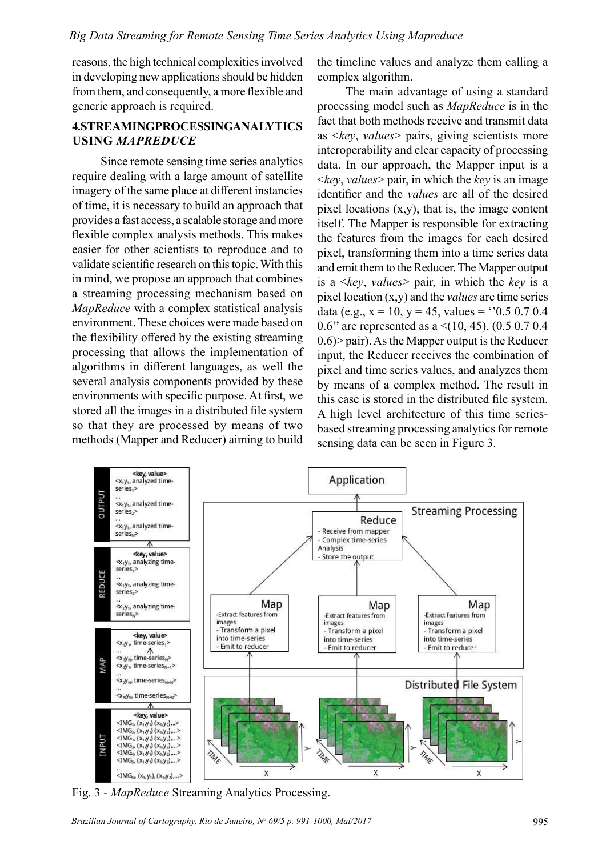reasons, the high technical complexities involved in developing new applications should be hidden from them, and consequently, a more flexible and generic approach is required.

## 4.STREAMINGPROCESSINGANALYTICS USING MAPREDUCE

Since remote sensing time series analytics require dealing with a large amount of satellite imagery of the same place at different instancies of time, it is necessary to build an approach that provides a fast access, a scalable storage and more flexible complex analysis methods. This makes easier for other scientists to reproduce and to validate scientific research on this topic. With this in mind, we propose an approach that combines a streaming processing mechanism based on MapReduce with a complex statistical analysis environment. These choices were made based on the flexibility offered by the existing streaming processing that allows the implementation of algorithms in different languages, as well the several analysis components provided by these environments with specific purpose. At first, we stored all the images in a distributed file system so that they are processed by means of two methods (Mapper and Reducer) aiming to build

the timeline values and analyze them calling a complex algorithm.

The main advantage of using a standard processing model such as MapReduce is in the fact that both methods receive and transmit data as  $\langle key, values \rangle$  pairs, giving scientists more interoperability and clear capacity of processing data. In our approach, the Mapper input is a  $\langle key, values \rangle$  pair, in which the key is an image identifier and the values are all of the desired pixel locations (x,y), that is, the image content itself. The Mapper is responsible for extracting the features from the images for each desired pixel, transforming them into a time series data and emit them to the Reducer. The Mapper output is a  $\langle key, values \rangle$  pair, in which the key is a pixel location  $(x,y)$  and the *values* are time series data (e.g.,  $x = 10$ ,  $y = 45$ , values =  $0.5$  0.7 0.4 0.6" are represented as a  $\leq$ (10, 45), (0.5 0.7 0.4 0.6)> pair). As the Mapper output is the Reducer input, the Reducer receives the combination of pixel and time series values, and analyzes them by means of a complex method. The result in this case is stored in the distributed file system. A high level architecture of this time seriesbased streaming processing analytics for remote sensing data can be seen in Figure 3.



Fig. 3 - MapReduce Streaming Analytics Processing.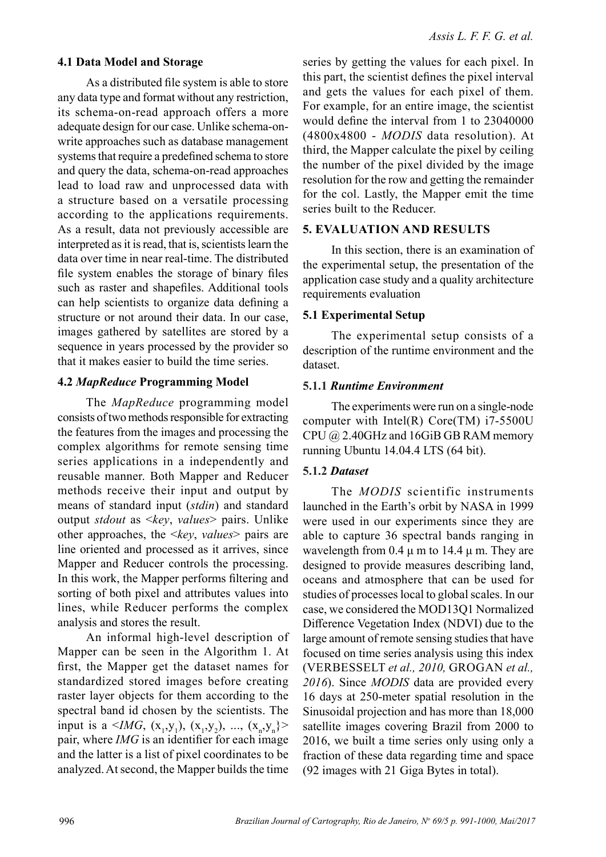### 4.1 Data Model and Storage

As a distributed file system is able to store any data type and format without any restriction, its schema-on-read approach offers a more adequate design for our case. Unlike schema-onwrite approaches such as database management systems that require a predefined schema to store and query the data, schema-on-read approaches lead to load raw and unprocessed data with a structure based on a versatile processing according to the applications requirements. As a result, data not previously accessible are interpreted as it is read, that is, scientists learn the data over time in near real-time. The distributed file system enables the storage of binary files such as raster and shapefiles. Additional tools can help scientists to organize data defining a structure or not around their data. In our case, images gathered by satellites are stored by a sequence in years processed by the provider so that it makes easier to build the time series.

#### 4.2 MapReduce Programming Model

The *MapReduce* programming model consists of two methods responsible for extracting the features from the images and processing the complex algorithms for remote sensing time series applications in a independently and reusable manner. Both Mapper and Reducer methods receive their input and output by means of standard input (stdin) and standard output *stdout* as  $\langle key, values \rangle$  pairs. Unlike other approaches, the  $\langle key, values \rangle$  pairs are line oriented and processed as it arrives, since Mapper and Reducer controls the processing. In this work, the Mapper performs filtering and sorting of both pixel and attributes values into lines, while Reducer performs the complex analysis and stores the result.

An informal high-level description of Mapper can be seen in the Algorithm 1. At first, the Mapper get the dataset names for standardized stored images before creating raster layer objects for them according to the spectral band id chosen by the scientists. The input is a <IMG,  $(x_1, y_1)$ ,  $(x_1, y_2)$ , ...,  $(x_n, y_n)$ > pair, where  $IMG$  is an identifier for each image and the latter is a list of pixel coordinates to be analyzed. At second, the Mapper builds the time

series by getting the values for each pixel. In this part, the scientist defines the pixel interval and gets the values for each pixel of them. For example, for an entire image, the scientist would define the interval from 1 to  $23040000$ (4800x4800 - MODIS data resolution). At third, the Mapper calculate the pixel by ceiling the number of the pixel divided by the image resolution for the row and getting the remainder for the col. Lastly, the Mapper emit the time series built to the Reducer.

#### 5. EVALUATION AND RESULTS

In this section, there is an examination of the experimental setup, the presentation of the application case study and a quality architecture requirements evaluation

#### 5.1 Experimental Setup

The experimental setup consists of a description of the runtime environment and the dataset.

#### 5.1.1 Runtime Environment

The experiments were run on a single-node computer with Intel(R) Core(TM) i7-5500U CPU @ 2.40GHz and 16GiB GB RAM memory running Ubuntu 14.04.4 LTS (64 bit).

### 5.1.2 Dataset

The MODIS scientific instruments launched in the Earth's orbit by NASA in 1999 were used in our experiments since they are able to capture 36 spectral bands ranging in wavelength from  $0.4 \mu$  m to 14.4  $\mu$  m. They are designed to provide measures describing land, oceans and atmosphere that can be used for studies of processes local to global scales. In our case, we considered the MOD13Q1 Normalized Difference Vegetation Index (NDVI) due to the large amount of remote sensing studies that have focused on time series analysis using this index (VERBESSELT et al., 2010, GROGAN et al., 2016). Since MODIS data are provided every 16 days at 250-meter spatial resolution in the Sinusoidal projection and has more than 18,000 satellite images covering Brazil from 2000 to 2016, we built a time series only using only a fraction of these data regarding time and space (92 images with 21 Giga Bytes in total).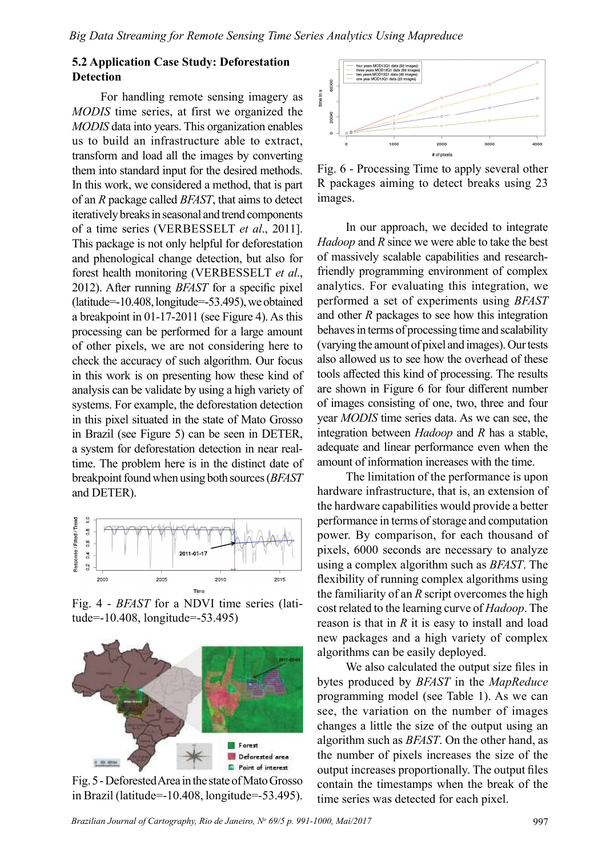## 5.2 Application Case Study: Deforestation **Detection**

For handling remote sensing imagery as MODIS time series, at first we organized the MODIS data into years. This organization enables us to build an infrastructure able to extract, transform and load all the images by converting them into standard input for the desired methods. In this work, we considered a method, that is part of an R package called BFAST, that aims to detect iteratively breaks in seasonal and trend components of a time series (VERBESSELT et al., 2011]. This package is not only helpful for deforestation and phenological change detection, but also for forest health monitoring (VERBESSELT et al., 2012). After running  $BFAST$  for a specific pixel (latitude=-10.408, longitude=-53.495), we obtained a breakpoint in 01-17-2011 (see Figure 4). As this processing can be performed for a large amount of other pixels, we are not considering here to check the accuracy of such algorithm. Our focus in this work is on presenting how these kind of analysis can be validate by using a high variety of systems. For example, the deforestation detection in this pixel situated in the state of Mato Grosso in Brazil (see Figure 5) can be seen in DETER, a system for deforestation detection in near realtime. The problem here is in the distinct date of breakpoint found when using both sources (BFAST and DETER).



Fig. 4 - BFAST for a NDVI time series (latitude=-10.408, longitude=-53.495)



Fig. 5 - Deforested Area in the state of Mato Grosso in Brazil (latitude=-10.408, longitude=-53.495).



Fig. 6 - Processing Time to apply several other R packages aiming to detect breaks using 23 images.

In our approach, we decided to integrate  $Hadoop$  and  $R$  since we were able to take the best of massively scalable capabilities and researchfriendly programming environment of complex analytics. For evaluating this integration, we performed a set of experiments using BFAST and other R packages to see how this integration behaves in terms of processing time and scalability (varying the amount of pixel and images). Our tests also allowed us to see how the overhead of these tools affected this kind of processing. The results are shown in Figure 6 for four different number of images consisting of one, two, three and four year MODIS time series data. As we can see, the integration between Hadoop and R has a stable, adequate and linear performance even when the amount of information increases with the time.

The limitation of the performance is upon hardware infrastructure, that is, an extension of the hardware capabilities would provide a better performance in terms of storage and computation power. By comparison, for each thousand of pixels, 6000 seconds are necessary to analyze using a complex algorithm such as BFAST. The flexibility of running complex algorithms using the familiarity of an  $R$  script overcomes the high cost related to the learning curve of Hadoop. The reason is that in  $R$  it is easy to install and load new packages and a high variety of complex algorithms can be easily deployed.

We also calculated the output size files in bytes produced by BFAST in the MapReduce programming model (see Table 1). As we can see, the variation on the number of images changes a little the size of the output using an algorithm such as BFAST. On the other hand, as the number of pixels increases the size of the output increases proportionally. The output files contain the timestamps when the break of the time series was detected for each pixel.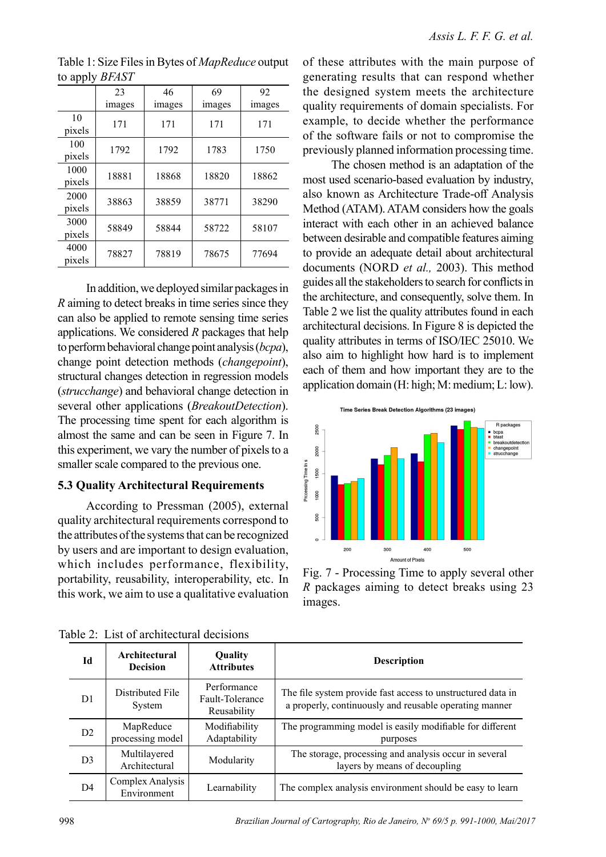|                | 23     | 46     | 69     | 92     |
|----------------|--------|--------|--------|--------|
|                | images | images | images | images |
| 10<br>pixels   | 171    | 171    | 171    | 171    |
| 100<br>pixels  | 1792   | 1792   | 1783   | 1750   |
| 1000<br>pixels | 18881  | 18868  | 18820  | 18862  |
| 2000<br>pixels | 38863  | 38859  | 38771  | 38290  |
| 3000<br>pixels | 58849  | 58844  | 58722  | 58107  |
| 4000<br>pixels | 78827  | 78819  | 78675  | 77694  |

Table 1: Size Files in Bytes of MapReduce output to apply BFAST

In addition, we deployed similar packages in R aiming to detect breaks in time series since they can also be applied to remote sensing time series applications. We considered  $R$  packages that help to perform behavioral change point analysis (bcpa), change point detection methods (changepoint), structural changes detection in regression models (strucchange) and behavioral change detection in several other applications (*BreakoutDetection*). The processing time spent for each algorithm is almost the same and can be seen in Figure 7. In this experiment, we vary the number of pixels to a smaller scale compared to the previous one.

#### 5.3 Quality Architectural Requirements

According to Pressman (2005), external quality architectural requirements correspond to the attributes of the systems that can be recognized by users and are important to design evaluation, which includes performance, flexibility, portability, reusability, interoperability, etc. In this work, we aim to use a qualitative evaluation of these attributes with the main purpose of generating results that can respond whether the designed system meets the architecture quality requirements of domain specialists. For example, to decide whether the performance of the software fails or not to compromise the previously planned information processing time.

The chosen method is an adaptation of the most used scenario-based evaluation by industry, also known as Architecture Trade-off Analysis Method (ATAM). ATAM considers how the goals interact with each other in an achieved balance between desirable and compatible features aiming to provide an adequate detail about architectural documents (NORD et al., 2003). This method guides all the stakeholders to search for conflicts in the architecture, and consequently, solve them. In Table 2 we list the quality attributes found in each architectural decisions. In Figure 8 is depicted the quality attributes in terms of ISO/IEC 25010. We also aim to highlight how hard is to implement each of them and how important they are to the application domain (H: high; M: medium; L: low).



Fig. 7 - Processing Time to apply several other R packages aiming to detect breaks using 23 images.

| Id             | Architectural<br><b>Decision</b> | Quality<br><b>Attributes</b>                  | <b>Description</b>                                                                                                    |
|----------------|----------------------------------|-----------------------------------------------|-----------------------------------------------------------------------------------------------------------------------|
| D1             | Distributed File<br>System       | Performance<br>Fault-Tolerance<br>Reusability | The file system provide fast access to unstructured data in<br>a properly, continuously and reusable operating manner |
| D <sub>2</sub> | MapReduce<br>processing model    | Modifiability<br>Adaptability                 | The programming model is easily modifiable for different<br>purposes                                                  |
| D <sub>3</sub> | Multilayered<br>Architectural    | Modularity                                    | The storage, processing and analysis occur in several<br>layers by means of decoupling                                |
| D4             | Complex Analysis<br>Environment  | Learnability                                  | The complex analysis environment should be easy to learn                                                              |

Table 2: List of architectural decisions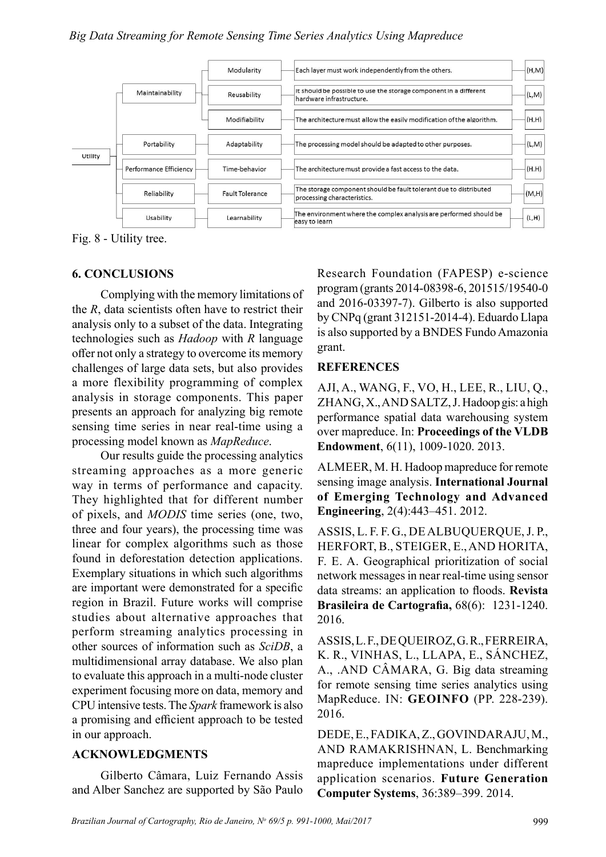

Fig. 8 - Utility tree.

# 6. CONCLUSIONS

Complying with the memory limitations of the  $R$ , data scientists often have to restrict their analysis only to a subset of the data. Integrating technologies such as Hadoop with R language offer not only a strategy to overcome its memory challenges of large data sets, but also provides a more flexibility programming of complex analysis in storage components. This paper presents an approach for analyzing big remote sensing time series in near real-time using a processing model known as MapReduce.

Our results guide the processing analytics streaming approaches as a more generic way in terms of performance and capacity. They highlighted that for different number of pixels, and MODIS time series (one, two, three and four years), the processing time was linear for complex algorithms such as those found in deforestation detection applications. Exemplary situations in which such algorithms are important were demonstrated for a specific region in Brazil. Future works will comprise studies about alternative approaches that perform streaming analytics processing in other sources of information such as SciDB, a multidimensional array database. We also plan to evaluate this approach in a multi-node cluster experiment focusing more on data, memory and CPU intensive tests. The Spark framework is also a promising and efficient approach to be tested in our approach.

## ACKNOWLEDGMENTS

Gilberto Câmara, Luiz Fernando Assis and Alber Sanchez are supported by São Paulo

Research Foundation (FAPESP) e-science program (grants 2014-08398-6, 201515/19540-0 and 2016-03397-7). Gilberto is also supported by CNPq (grant 312151-2014-4). Eduardo Llapa is also supported by a BNDES Fundo Amazonia grant.

## **REFERENCES**

AJI, A., WANG, F., VO, H., LEE, R., LIU, Q., ZHANG, X., AND SALTZ, J. Hadoop gis: a high performance spatial data warehousing system over mapreduce. In: Proceedings of the VLDB Endowment, 6(11), 1009-1020. 2013.

ALMEER, M. H. Hadoop mapreduce for remote sensing image analysis. International Journal of Emerging Technology and Advanced Engineering, 2(4):443–451. 2012.

ASSIS, L. F. F. G., DE ALBUQUERQUE, J. P., HERFORT, B., STEIGER, E., AND HORITA, F. E. A. Geographical prioritization of social network messages in near real-time using sensor data streams: an application to floods. Revista Brasileira de Cartografia, 68(6): 1231-1240. 2016.

ASSIS, L. F., DE QUEIROZ, G. R., FERREIRA, K. R., VINHAS, L., LLAPA, E., SÁNCHEZ, A., .AND CÂMARA, G. Big data streaming for remote sensing time series analytics using MapReduce. IN: GEOINFO (PP. 228-239). 2016.

DEDE, E., FADIKA, Z., GOVINDARAJU, M., AND RAMAKRISHNAN, L. Benchmarking mapreduce implementations under different application scenarios. Future Generation Computer Systems, 36:389–399. 2014.